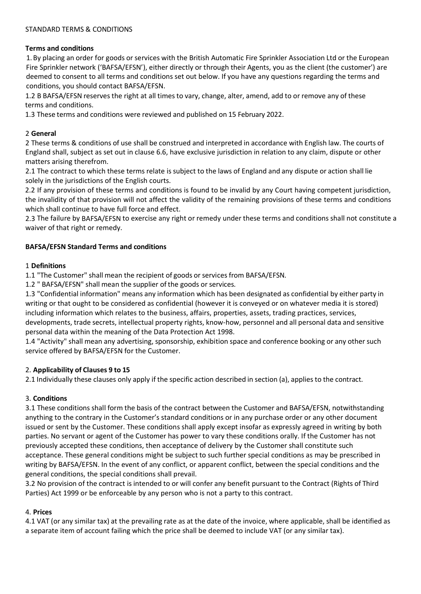#### STANDARD TERMS & CONDITIONS

### **Terms and conditions**

1.By placing an order for goods or services with the British Automatic Fire Sprinkler Association Ltd or the European Fire Sprinkler network ('BAFSA/EFSN'), either directly or through their Agents, you as the client (the customer') are deemed to consent to all terms and conditions set out below. If you have any questions regarding the terms and conditions, you should contact BAFSA/EFSN.

1.2 B BAFSA/EFSN reserves the right at all times to vary, change, alter, amend, add to or remove any of these terms and conditions.

1.3 These terms and conditions were reviewed and published on 15 February 2022.

#### 2 **General**

2 These terms & conditions of use shall be construed and interpreted in accordance with English law. The courts of England shall, subject as set out in clause 6.6, have exclusive jurisdiction in relation to any claim, dispute or other matters arising therefrom.

2.1 The contract to which these terms relate is subject to the laws of England and any dispute or action shall lie solely in the jurisdictions of the English courts.

2.2 If any provision of these terms and conditions is found to be invalid by any Court having competent jurisdiction, the invalidity of that provision will not affect the validity of the remaining provisions of these terms and conditions which shall continue to have full force and effect.

2.3 The failure by BAFSA/EFSN to exercise any right or remedy under these terms and conditions shall not constitute a waiver of that right or remedy.

#### **BAFSA/EFSN Standard Terms and conditions**

#### 1 **Definitions**

1.1 "The Customer" shall mean the recipient of goods or services from BAFSA/EFSN.

1.2 " BAFSA/EFSN" shall mean the supplier of the goods or services.

1.3 "Confidential information" means any information which has been designated as confidential by either party in writing or that ought to be considered as confidential (however it is conveyed or on whatever media it is stored) including information which relates to the business, affairs, properties, assets, trading practices, services, developments, trade secrets, intellectual property rights, know-how, personnel and all personal data and sensitive personal data within the meaning of the Data Protection Act 1998.

1.4 "Activity" shall mean any advertising, sponsorship, exhibition space and conference booking or any other such service offered by BAFSA/EFSN for the Customer.

#### 2. **Applicability of Clauses 9 to 15**

2.1 Individually these clauses only apply if the specific action described in section (a), applies to the contract.

## 3. **Conditions**

3.1 These conditions shall form the basis of the contract between the Customer and BAFSA/EFSN, notwithstanding anything to the contrary in the Customer's standard conditions or in any purchase order or any other document issued or sent by the Customer. These conditions shall apply except insofar as expressly agreed in writing by both parties. No servant or agent of the Customer has power to vary these conditions orally. If the Customer has not previously accepted these conditions, then acceptance of delivery by the Customer shall constitute such acceptance. These general conditions might be subject to such further special conditions as may be prescribed in writing by BAFSA/EFSN. In the event of any conflict, or apparent conflict, between the special conditions and the general conditions, the special conditions shall prevail.

3.2 No provision of the contract is intended to or will confer any benefit pursuant to the Contract (Rights of Third Parties) Act 1999 or be enforceable by any person who is not a party to this contract.

## 4. **Prices**

4.1 VAT (or any similar tax) at the prevailing rate as at the date of the invoice, where applicable, shall be identified as a separate item of account failing which the price shall be deemed to include VAT (or any similar tax).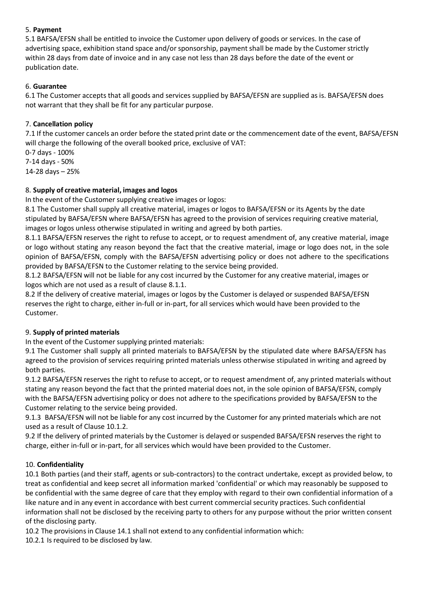## 5. **Payment**

5.1 BAFSA/EFSN shall be entitled to invoice the Customer upon delivery of goods or services. In the case of advertising space, exhibition stand space and/or sponsorship, payment shall be made by the Customer strictly within 28 days from date of invoice and in any case not less than 28 days before the date of the event or publication date.

## 6. **Guarantee**

6.1 The Customer accepts that all goods and services supplied by BAFSA/EFSN are supplied as is. BAFSA/EFSN does not warrant that they shall be fit for any particular purpose.

## 7. **Cancellation policy**

7.1 If the customer cancels an order before the stated print date or the commencement date of the event, BAFSA/EFSN will charge the following of the overall booked price, exclusive of VAT:

0-7 days - 100% 7-14 days - 50% 14-28 days – 25%

## 8. **Supply of creative material, images and logos**

In the event of the Customer supplying creative images or logos:

8.1 The Customer shall supply all creative material, images or logos to BAFSA/EFSN or its Agents by the date stipulated by BAFSA/EFSN where BAFSA/EFSN has agreed to the provision of services requiring creative material, images or logos unless otherwise stipulated in writing and agreed by both parties.

8.1.1 BAFSA/EFSN reserves the right to refuse to accept, or to request amendment of, any creative material, image or logo without stating any reason beyond the fact that the creative material, image or logo does not, in the sole opinion of BAFSA/EFSN, comply with the BAFSA/EFSN advertising policy or does not adhere to the specifications provided by BAFSA/EFSN to the Customer relating to the service being provided.

8.1.2 BAFSA/EFSN will not be liable for any cost incurred by the Customer for any creative material, images or logos which are not used as a result of clause 8.1.1.

8.2 If the delivery of creative material, images or logos by the Customer is delayed or suspended BAFSA/EFSN reserves the right to charge, either in-full or in-part, for all services which would have been provided to the Customer.

# 9. **Supply of printed materials**

In the event of the Customer supplying printed materials:

9.1 The Customer shall supply all printed materials to BAFSA/EFSN by the stipulated date where BAFSA/EFSN has agreed to the provision of services requiring printed materials unless otherwise stipulated in writing and agreed by both parties.

9.1.2 BAFSA/EFSN reserves the right to refuse to accept, or to request amendment of, any printed materials without stating any reason beyond the fact that the printed material does not, in the sole opinion of BAFSA/EFSN, comply with the BAFSA/EFSN advertising policy or does not adhere to the specifications provided by BAFSA/EFSN to the Customer relating to the service being provided.

9.1.3 BAFSA/EFSN will not be liable for any cost incurred by the Customer for any printed materials which are not used as a result of Clause 10.1.2.

9.2 If the delivery of printed materials by the Customer is delayed or suspended BAFSA/EFSN reserves the right to charge, either in-full or in-part, for all services which would have been provided to the Customer.

# 10. **Confidentiality**

10.1 Both parties (and their staff, agents or sub-contractors) to the contract undertake, except as provided below, to treat as confidential and keep secret all information marked 'confidential' or which may reasonably be supposed to be confidential with the same degree of care that they employ with regard to their own confidential information of a like nature and in any event in accordance with best current commercial security practices. Such confidential information shall not be disclosed by the receiving party to others for any purpose without the prior written consent of the disclosing party.

10.2 The provisionsin Clause 14.1 shall not extend to any confidential information which:

10.2.1 Is required to be disclosed by law.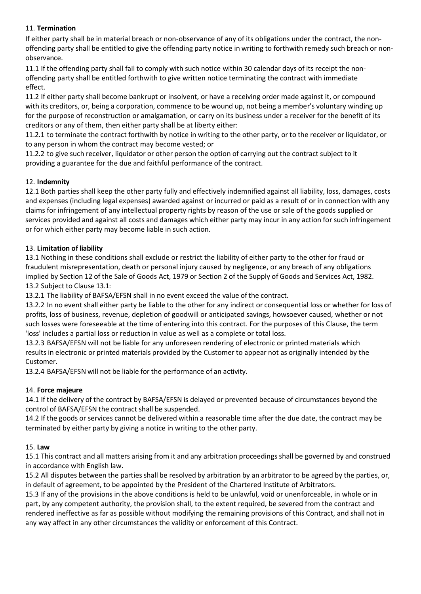# 11. **Termination**

If either party shall be in material breach or non-observance of any of its obligations under the contract, the nonoffending party shall be entitled to give the offending party notice in writing to forthwith remedy such breach or nonobservance.

11.1 If the offending party shall fail to comply with such notice within 30 calendar days of its receipt the nonoffending party shall be entitled forthwith to give written notice terminating the contract with immediate effect.

11.2 If either party shall become bankrupt or insolvent, or have a receiving order made against it, or compound with its creditors, or, being a corporation, commence to be wound up, not being a member's voluntary winding up for the purpose of reconstruction or amalgamation, or carry on its business under a receiver for the benefit of its creditors or any of them, then either party shall be at liberty either:

11.2.1 to terminate the contract forthwith by notice in writing to the other party, or to the receiver or liquidator, or to any person in whom the contract may become vested; or

11.2.2 to give such receiver, liquidator or other person the option of carrying out the contract subject to it providing a guarantee for the due and faithful performance of the contract.

## 12. **Indemnity**

12.1 Both parties shall keep the other party fully and effectively indemnified against all liability, loss, damages, costs and expenses (including legal expenses) awarded against or incurred or paid as a result of or in connection with any claims for infringement of any intellectual property rights by reason of the use or sale of the goods supplied or services provided and against all costs and damages which either party may incur in any action for such infringement or for which either party may become liable in such action.

## 13. **Limitation of liability**

13.1 Nothing in these conditions shall exclude or restrict the liability of either party to the other for fraud or fraudulent misrepresentation, death or personal injury caused by negligence, or any breach of any obligations implied by Section 12 of the Sale of Goods Act, 1979 or Section 2 of the Supply of Goods and Services Act, 1982. 13.2 Subject to Clause 13.1:

13.2.1 The liability of BAFSA/EFSN shall in no event exceed the value of the contract.

13.2.2 In no event shall either party be liable to the other for any indirect or consequential loss or whether for loss of profits, loss of business, revenue, depletion of goodwill or anticipated savings, howsoever caused, whether or not such losses were foreseeable at the time of entering into this contract. For the purposes of this Clause, the term 'loss' includes a partial loss or reduction in value as well as a complete or total loss.

13.2.3 BAFSA/EFSN will not be liable for any unforeseen rendering of electronic or printed materials which results in electronic or printed materials provided by the Customer to appear not as originally intended by the Customer.

13.2.4 BAFSA/EFSN will not be liable for the performance of an activity.

## 14. **Force majeure**

14.1 If the delivery of the contract by BAFSA/EFSN is delayed or prevented because of circumstances beyond the control of BAFSA/EFSN the contract shall be suspended.

14.2 If the goods or services cannot be delivered within a reasonable time after the due date, the contract may be terminated by either party by giving a notice in writing to the other party.

## 15. **Law**

15.1 This contract and all matters arising from it and any arbitration proceedings shall be governed by and construed in accordance with English law.

15.2 All disputes between the parties shall be resolved by arbitration by an arbitrator to be agreed by the parties, or, in default of agreement, to be appointed by the President of the Chartered Institute of Arbitrators.

15.3 If any of the provisions in the above conditions is held to be unlawful, void or unenforceable, in whole or in part, by any competent authority, the provision shall, to the extent required, be severed from the contract and rendered ineffective as far as possible without modifying the remaining provisions of this Contract, and shall not in any way affect in any other circumstances the validity or enforcement of this Contract.